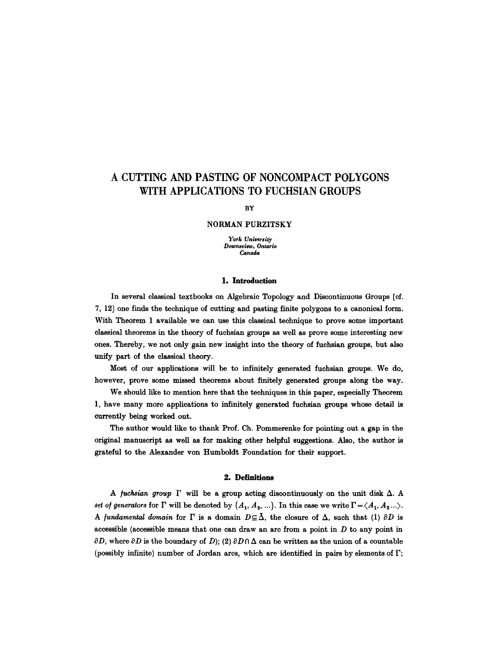# **A CUTTING AND PASTING OF NONCOMPACT POLYGONS WITH APPLICATIONS TO FUCHSIAN GROUPS**

**BY** 

#### NORMAN **PURZITSKY**

*York University Downsview, Ontario Canada* 

#### 1. **Introduction**

In several classical textbooks on Algebraic Topology and Discontinuous Groups [el. 7, 12] one finds the technique of cutting and pasting finite polygons to a canonical form. With Theorem 1 available we can use this classical technique to prove some important classical theorems in the theory of fuchsian groups as well as prove some interesting new ones. Thereby, we not only gain new insight into the theory of fuchsian groups, but also unify part of the classical theory.

Most of our applications will be to infinitely generated fuchsian groups. We do, however, prove some missed theorems about finitely generated groups along the way.

We should like to mention here that the techniques in this paper, especially Theorem 1, have many more applications to infinitely generated fuchsian groups whose detail is currently being worked out.

The author would like to thank Prof. Ch. Pommerenke for pointing out a gap in the original manuscript as well as for making other helpful suggestions. Also, the author is grateful to the Alexander yon Humboldt Foundation for their support.

## **2. Definitions**

A *fuchsian group*  $\Gamma$  will be a group acting discontinuously on the unit disk  $\Delta$ . A *set of generators* for  $\Gamma$  will be denoted by  $\{A_1, A_2, ...\}$ . In this case we write  $\Gamma = \langle A_1, A_2 ... \rangle$ . *A fundamental domain* for  $\Gamma$  is a domain  $D \subseteq \overline{\Delta}$ , the closure of  $\Delta$ , such that (1)  $\partial D$  is accessible (accessible means that one can draw an arc from a point in  $D$  to any point in  $\partial D$ , where  $\partial D$  is the boundary of D); (2)  $\partial D \cap \Delta$  can be written as the union of a countable (possibly infinite) number of Jordan arcs, which are identified in pairs by elements of  $\Gamma$ ;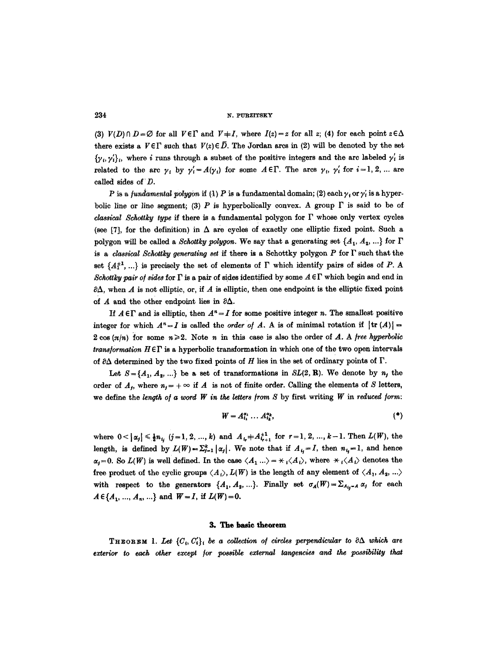(3)  $V(D) \cap D = \emptyset$  for all  $V \in \Gamma$  and  $V \neq I$ , where  $I(z) = z$  for all z; (4) for each point  $z \in \Delta$ there exists a  $V \in \Gamma$  such that  $V(z) \in \overline{D}$ . The Jordan arcs in (2) will be denoted by the set  $\{\gamma_t, \gamma_t'\},$  where i runs through a subset of the positive integers and the arc labeled  $\gamma'_t$  is related to the arc  $\gamma_i$  by  $\gamma'_i = A(\gamma_i)$  for some  $A \in \Gamma$ . The arcs  $\gamma_i$ ,  $\gamma'_i$  for  $i = 1, 2, ...$  are called sides of D.

P is a *fundamental polygon* if  $(1)$  P is a fundamental domain; (2) each  $\gamma_i$  or  $\gamma'_i$  is a hyperbolic line or line segment; (3) P is hyperbolically convex. A group  $\Gamma$  is said to be of *classical Schottky type* if there is a fundamental polygon for  $\Gamma$  whose only vertex cycles (see [7], for the definition) in  $\Delta$  are cycles of exactly one elliptic fixed point. Such a polygon will be called a *Schottky polygon*. We say that a generating set  $\{A_1, A_2, ...\}$  for  $\Gamma$ is a *classical Schottky generating set* if there is a Schottky polygon P for F such that the set  $\{A_1^{\pm 1}, ...\}$  is precisely the set of elements of  $\Gamma$  which identify pairs of sides of P. A *Schottky pair of sides* for  $\Gamma$  is a pair of sides identified by some  $A \in \Gamma$  which begin and end in  $\partial \Delta$ , when A is not elliptic, or, if A is elliptic, then one endpoint is the elliptic fixed point of  $A$  and the other endpoint lies in  $\partial \Delta$ .

If  $A \in \Gamma$  and is elliptic, then  $A^n = I$  for some positive integer n. The smallest positive integer for which  $A^n = I$  is called the *order of A*. A is of minimal rotation if  $|\text{tr}(A)| =$  $2 \cos(\pi/n)$  for some  $n \ge 2$ . Note n in this case is also the order of A. A free hyperbolic *transformation*  $H \in \Gamma$  is a hyperbolic transformation in which one of the two open intervals of  $\partial\Delta$  determined by the two fixed points of H lies in the set of ordinary points of  $\Gamma$ .

Let  $S = \{A_1, A_2, ...\}$  be a set of transformations in *SL(2, R)*. We denote by  $n_j$  the order of  $A_{j}$ , where  $n_{j} = +\infty$  if  $A$  is not of finite order. Calling the elements of S letters, we define the *lenqth of a word W in the letters from 8* by first writing *W in reduced form:* 

$$
W = A_{i_1}^{\alpha_1} \dots A_{i_k}^{\alpha_k}, \tag{*}
$$

where  $0<|\alpha_j| \le \frac{1}{2}n_{i_j}$   $(j=1,2, ..., k)$  and  $A_{i_r}+A_{i_{r+1}}^{\pm 1}$  for  $r=1,2, ..., k-1$ . Then  $L(W)$ , the length, is defined by  $L(W) = \sum_{i=1}^{k} |\alpha_i|$ . We note that if  $A_{i,j} = I$ , then  $n_{i,j} = 1$ , and hence  $\alpha_i=0$ . So  $L(W)$  is well defined. In the case  $\langle A_1 \rangle = \langle A_1 \rangle$ , where  $\langle A_1 \rangle$  denotes the free product of the cyclic groups  $\langle A_1 \rangle$ ,  $L(W)$  is the length of any element of  $\langle A_1, A_2, \ldots \rangle$ with respect to the generators  $\{A_1, A_2, ...\}$ . Finally set  $\sigma_A(W) = \sum_{A_{ij}-A} \alpha_j$  for each  $A \in \{A_1, ..., A_n, ...\}$  and  $W = I$ , if  $L(W) = 0$ .

#### **3. The basle theorem**

**THEOREM** 1. Let  $\{C_i, C'_i\}$  be a collection of circles perpendicular to  $\partial \Delta$  which are exterior to each other except for possible external tangencies and the possibility that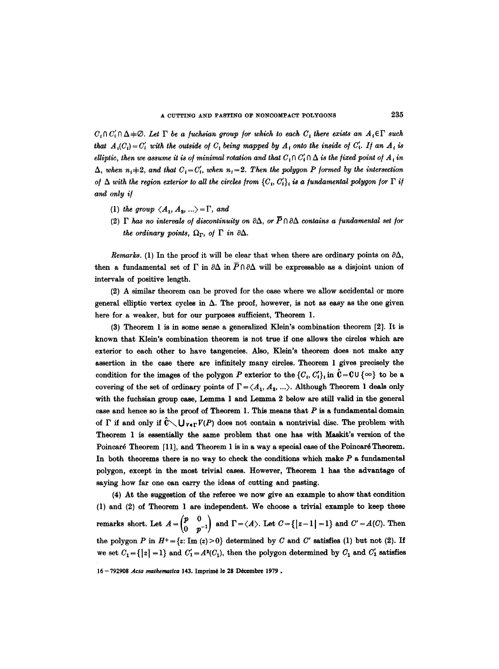$C_1 \cap C_1' \cap \Delta + \emptyset$ . Let  $\Gamma$  be a fuchsian group for which to each  $C_i$  there exists an  $A_i \in \Gamma$  such *that*  $A_i(C_i) = C'_i$  with the outside of  $C_i$  being mapped by  $A_i$  onto the inside of  $C'_i$ . If an  $A_i$  is *elliptic, then we assume it is of minimal rotation and that*  $C_i \cap C'_i \cap \Delta$  *is the fixed point of*  $A_i$  *in*  $\Delta$ , when  $n_i=2$ , and that  $C_i=C'_i$ , when  $n_i=2$ . Then the polygon P formed by the intersection *of*  $\Delta$  with the region exterior to all the circles from  $\{C_i, C'_i\}$  is a fundamental polygon for  $\Gamma$  if *and only if* 

- (1) *the group*  $\langle A_1, A_2, \ldots \rangle = \Gamma$ , and
- (2)  $\Gamma$  has no intervals of discontinuity on  $\partial \Delta$ , or  $\overline{P} \cap \partial \Delta$  contains a fundamental set for *the ordinary points,*  $\Omega_{\Gamma}$ , of  $\Gamma$  *in*  $\partial \Delta$ *.*

*Remarks.* (1) In the proof it will be clear that when there are ordinary points on  $\partial \Delta$ , then a fundamental set of  $\Gamma$  in  $\partial \Delta$  in  $\overline{P} \cap \partial \Delta$  will be expressable as a disjoint union of intervals of positive length.

(2) A similar theorem can be proved for the case where we allow accidental or more general elliptic vertex cycles in  $\Delta$ . The proof, however, is not as easy as the one given here for a weaker, but for our purposes sufficient, Theorem 1.

(3) Theorem 1 is in some sense a generalized Klein's combination theorem [2]. It is known that Klein's combination theorem is not true if one allows the circles which are exterior to each other to have tangencies. Also, Klein's theorem does not make any assertion in the case there are infinitely many circles. Theorem 1 gives precisely the condition for the images of the polygon P exterior to the  $\{C_i, C'_i\}$  in  $\hat{\mathbf{C}} = \mathbf{C} \cup \{\infty\}$  to be a covering of the set of ordinary points of  $\Gamma = \langle A_1, A_2, ...\rangle$ . Although Theorem 1 deals only with the fuchsian group case, Lemma 1 and Lemma 2 below are still valid in the general case and hence so is the proof of Theorem 1. This means that  $P$  is a fundamental domain of  $\Gamma$  if and only if  $\hat{C} \setminus U_{V \in \Gamma} V(P)$  does not contain a nontrivial disc. The problem with Theorem 1 is essentially the same problem that one has with Maskit's version of the Poincaré Theorem [11], and Theorem 1 is in a way a special case of the Poincaré Theorem. In both theorems there is no way to check the conditions which make  $P$  a fundamental polygon, except in the most trivial cases. However, Theorem 1 has the advantage of saying how far one can carry the ideas of cutting and pasting.

(4) At the suggestion of the referee we now give an example to show that condition (1) and (2) of Theorem 1 are independent. We choose a trivial example to keep these remarks short. Let  $A=\begin{pmatrix}p&0\\0&p^{-1}\end{pmatrix}$  and  $\Gamma=\langle A\rangle$ . Let  $C=\{|z-1|=1\}$  and  $C'=A(C)$ . Then the polygon P in  $H^+=\{z: \text{Im}(z)\geq 0\}$  determined by C and C' satisfies (1) but not (2). If we set  $C_1 = \{ |z| = 1 \}$  and  $C_1' = A^2(C_1)$ , then the polygon determined by  $C_1$  and  $C_1'$  satisfies

<sup>16-792908</sup> Acta mathematica 143. Imprimé le 28 Décembre 1979.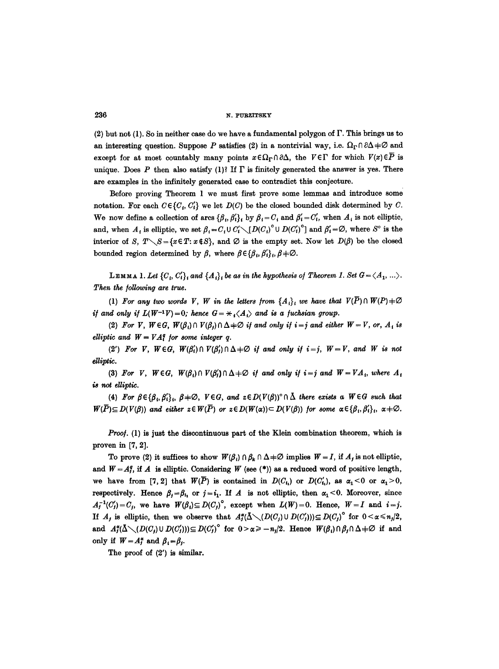(2) but not (1). So in neither case do we have a fundamental polygon of  $\Gamma$ . This brings us to an interesting question. Suppose P satisfies (2) in a nontrivial way, i.e.  $\Omega_{\Gamma} \cap \partial \Delta \neq \emptyset$  and except for at most countably many points  $x \in \Omega_{\Gamma} \cap \partial \Delta$ , the  $V \in \Gamma$  for which  $V(x) \in \overline{P}$  is unique. Does P then also satisfy (1)? If  $\Gamma$  is finitely generated the answer is yes. There are examples in the infinitely generated case to contradict this conjecture.

Before proving Theorem 1 we must first prove some lemmas and introduce some notation. For each  $C \in \{C_i, C'_i\}$  we let  $D(C)$  be the closed bounded disk determined by C. We now define a collection of arcs  $\{\beta_i, \beta_i'\}_i$  by  $\beta_i = C_i$  and  $\beta_i' = C_i'$ , when  $A_i$  is not elliptic, and, when A, is elliptic, we set  $\beta_i = C_i \cup C'_i \setminus [D(C_i)^{\circ} \cup D(C'_i)^{\circ}]$  and  $\beta'_i = \emptyset$ , where S<sup>°</sup> is the interior of S,  $T\setminus S = \{x \in T: x \notin S\}$ , and  $\varnothing$  is the empty set. Now let  $D(\beta)$  be the closed bounded region determined by  $\beta$ , where  $\beta \in {\{\beta_i, \beta'_i\}}_i, \beta \neq \emptyset$ .

LEMMA 1. Let  ${C_i, C'_i}_i$  and  ${A_i}_i$  be as in the hypothesis of Theorem 1. Set  $G = \langle A_1, ...\rangle$ . *Then the following are true.* 

(1) For any two words V, W in the letters from  ${A_i}_i$  we have that  $V(\overline{P}) \cap W(P)$   $\neq \emptyset$ *if and only if*  $L(W^{-1}V) = 0$ ; hence  $G = \frac{1}{A} \langle A_1 \rangle$  and is a fuchsian group.

(2) For V,  $W \in G$ ,  $W(\beta_i) \cap V(\beta_j) \cap \Delta \neq \emptyset$  *if and only if i=j and either*  $W = V$ , or,  $A_i$  *is elliptic and*  $W = VA^q$  *for some integer q.* 

(2') For V,  $W \in G$ ,  $W(\beta_i') \cap V(\beta_j') \cap \Delta \neq \emptyset$  if and only if  $i = j$ ,  $W = V$ , and W is not elliptic.

(3) For V,  $W \in G$ ,  $W(\beta_i) \cap V(\beta_i') \cap \Delta \neq \emptyset$  *if and only if i* = *j* and  $W = VA_i$ , where  $A_i$ *is not elliptic.* 

(4) For  $\beta \in {\{\beta_i,\beta'_i\}}_i$ ,  $\beta \neq \emptyset$ ,  $V \in G$ , and  $z \in D(V(\beta))^{\circ} \cap \overline{\Delta}$  there exists a  $W \in G$  such that  $W(\overline{P}) \subseteq D(V(\beta))$  and either  $z \in W(\overline{P})$  or  $z \in D(W(\alpha)) \subset D(V(\beta))$  for some  $\alpha \in {\{\beta_i, \beta'_i\}}_i$ ,  $\alpha \neq \emptyset$ .

Proof. (1) is just the discontinuous part of the Klein combination theorem, which is proven in [7, 2].

To prove (2) it suffices to show  $W(\beta_i) \cap \beta_k \cap \Delta \neq \emptyset$  implies  $W = I$ , if  $A_j$  is not elliptic, and  $W=A_j^q$ , if A is elliptic. Considering W (see (\*)) as a reduced word of positive length, we have from [7, 2] that  $W(\overline{P})$  is contained in  $D(C_{i_1})$  or  $D(C'_{i_2})$ , as  $\alpha_1 < 0$  or  $\alpha_1 > 0$ , respectively. Hence  $\beta_j = \beta_{i_1}$  or  $j = i_1$ . If A is not elliptic, then  $\alpha_1 < 0$ . Moreover, since  $A_{j}^{-1}(C_{j}')=C_{j}$ , we have  $W(\beta_{i})\subseteq D(C_{j})^{\circ}$ , except when  $L(W)=0$ . Hence,  $W=I$  and  $i=j$ . If  $A_j$  is elliptic, then we observe that  $A_j^{\alpha}(\bar{\Delta} \setminus (D(C_j) \cup D(C'_j))) \subseteq D(C_j)^\circ$  for  $0 < \alpha \leq n_j/2$ , and  $A_1^{\alpha}(\Delta \setminus (D(C_j) \cup D(C'_j))) \subseteq D(C'_j)^{\circ}$  for  $0 > \alpha \ge -n_j/2$ . Hence  $W(\beta_i) \cap \beta_j \cap \Delta \ne \emptyset$  if and only if  $W=A_j^{\alpha}$  and  $\beta_i=\beta_j$ .

The proof of (2') is similar.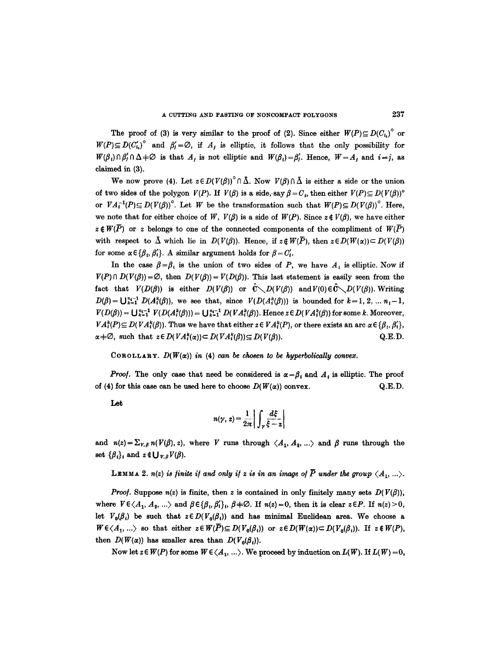The proof of (3) is very similar to the proof of (2). Since either  $W(P) \subseteq D(C_i)^\circ$  or  $W(P) \subseteq D(C'_i)^{\circ}$  and  $\beta'_j = \emptyset$ , if  $A_j$  is elliptic, it follows that the only possibility for  $W(\beta_i) \cap \beta'_i \cap \Delta \neq \emptyset$  is that  $A_i$  is not elliptic and  $W(\beta_i) = \beta'_i$ . Hence,  $W = A_i$  and  $i = j$ , as claimed in (3).

We now prove (4). Let  $z \in D(V(\beta))^\circ \cap \overline{\Delta}$ . Now  $V(\beta) \cap \overline{\Delta}$  is either a side or the union of two sides of the polygon  $V(P)$ . If  $V(\beta)$  is a side, say  $\beta = C_i$ , then either  $V(P) \subseteq D(V(\beta))^\circ$ or  $VA_1^{-1}(P) \subseteq D(V(\beta))$ <sup>o</sup>. Let *W* be the transformation such that  $W(P) \subseteq D(V(\beta))$ <sup>o</sup>. Here, we note that for either choice of W,  $V(\beta)$  is a side of  $W(P)$ . Since  $z \notin V(\beta)$ , we have either  $z \notin W(\overline{P})$  or z belongs to one of the connected components of the compliment of  $W(\overline{P})$ with respect to  $\overline{\Delta}$  which lie in  $D(V(\beta))$ . Hence, if  $z \notin W(\overline{P})$ , then  $z \in D(W(\alpha)) \subset D(V(\beta))$ for some  $\alpha \in {\{\beta_i, \beta'_i\}}$ . A similar argument holds for  $\beta = C'_i$ .

In the case  $\beta = \beta_i$  is the union of two sides of P, we have  $A_i$  is elliptic. Now if  $V(P) \cap D(V(\beta)) = \emptyset$ , then  $D(V(\beta)) = V(D(\beta))$ . This last statement is easily seen from the fact that  $V(D(\beta))$  is either  $D(V(\beta))$  or  $\hat{C} \setminus D(V(\beta))$  and  $V(0) \in \hat{C} \setminus D(V(\beta))$ . Writing  $D(\beta) = \bigcup_{k=1}^{n-1} D(A_i^k(\beta))$ , we see that, since  $V(D(A_i^k(\beta)))$  is bounded for  $k=1, 2, ... n-1$ ,  $V(D(\beta)) = \bigcup_{k=1}^{n_i-1} V(D(A_i^k(\beta))) = \bigcup_{k=1}^{n_i-1} D(VA_i^k(\beta)).$  Hence  $z \in D(VA_i^k(\beta))$  for some k. Moreover,  $VA_i^k(P) \subseteq D(VA_i^k(\beta))$ . Thus we have that either  $z \in VA_i^k(P)$ , or there exists an arc  $\alpha \in \{\beta_1, \beta_1'\},$  $\alpha \neq \emptyset$ , such that  $z \in D(VA_i^k(\alpha)) \subseteq D(VA_i^k(\beta)) \subseteq D(V(\beta)).$  Q.E.D.

COROLLARY.  $D(W(\alpha))$  *in* (4) *can be chosen to be hyperbolically convex.* 

*Proof.* The only case that need be considered is  $\alpha = \beta_i$  and  $A_i$  is elliptic. The proof of (4) for this case can be used here to choose  $D(W(\alpha))$  convex. Q.E.D.

Let

$$
n(\gamma, z) = \frac{1}{2\pi} \left| \int_{\gamma} \frac{d\xi}{\xi - z} \right|
$$

and  $n(z) = \sum_{V, \beta} n(V(\beta), z)$ , where V runs through  $\langle A_1, A_2, ...\rangle$  and  $\beta$  runs through the set  $\{\beta_i\}_i$  and  $z \notin \bigcup_{V,\beta} V(\beta)$ .

LEMMA 2.  $n(z)$  is finite if and only if z is in an image of  $\overline{P}$  under the group  $\langle A_1, ... \rangle$ .

*Proof.* Suppose  $n(z)$  is finite, then z is contained in only finitely many sets  $D(V(\beta))$ ; where  $V \in \langle A_1, A_2, \ldots \rangle$  and  $\beta \in {\{\beta_1, \beta'_1\}}$ ,  $\beta \neq \emptyset$ . If  $n(z)=0$ , then it is clear  $z \in P$ . If  $n(z) > 0$ , let  $V_0(\beta_i)$  be such that  $z \in D(V_0(\beta_i))$  and has minimal Euclidean area. We choose a  $W \in \langle A_1, \ldots \rangle$  so that either  $z \in W(P) \subseteq D(V_0(\beta_i))$  or  $z \in D(W(\alpha)) \subset D(V_0(\beta_i))$ . If  $z \notin W(P)$ , then  $D(W(\alpha))$  has smaller area than  $D(V_0(\beta_i))$ .

Now let  $z \in W(P)$  for some  $W \in \langle A_1, \ldots \rangle$ . We proceed by induction on  $L(W)$ . If  $L(W)=0$ ,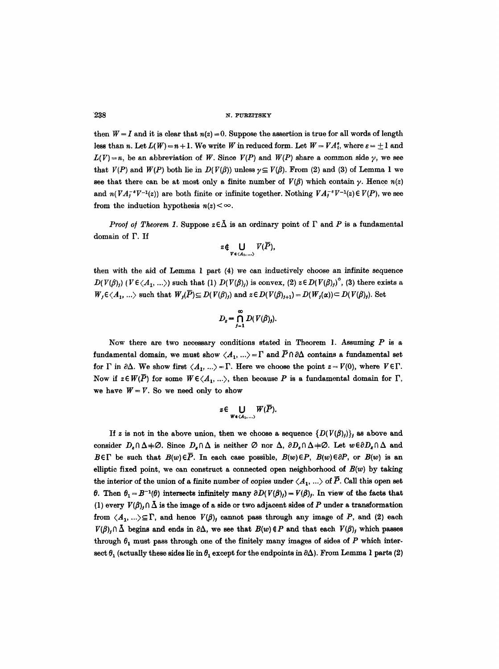then  $W = I$  and it is clear that  $n(z) = 0$ . Suppose the assertion is true for all words of length less than n. Let  $L(W) = n + 1$ . We write W in reduced form. Let  $W = VA_1^e$ , where  $\varepsilon = \pm 1$  and  $L(V) = n$ , be an abbreviation of W. Since  $V(P)$  and  $W(P)$  share a common side  $\gamma$ , we see that  $V(P)$  and  $W(P)$  both lie in  $D(V(\beta))$  unless  $\nu \subseteq V(\beta)$ . From (2) and (3) of Lemma 1 we see that there can be at most only a finite number of  $V(\beta)$  which contain y. Hence  $n(z)$ and  $n(VA_i^{-s}V^{-1}(z))$  are both finite or infinite together. Nothing  $VA_i^{-s}V^{-1}(z) \in V(P)$ , we see from the induction hypothesis  $n(z) < \infty$ .

*Proof of Theorem 1.* Suppose  $z \in \overline{\Delta}$  is an ordinary point of  $\Gamma$  and P is a fundamental domain of F. If

$$
z \notin \bigcup_{V \in \langle A_1,...,Brangle} V(\overline{P}),
$$

then with the aid of Lemma 1 part (4) we can inductively choose an infinite sequence  $D(V(\beta)_i)$  ( $V \in \langle A_1, ...\rangle$ ) such that (1)  $D(V(\beta)_i)$  is convex, (2)  $z \in D(V(\beta)_i)$ <sup>o</sup>, (3) there exists a  $W_j \in \langle A_1, \ldots \rangle$  such that  $W_j(\overline{P}) \subseteq D(V(\beta)_j)$  and  $z \in D(V(\beta)_{j+1}) = D(W_j(\alpha)) \subset D(V(\beta)_j)$ . Set

$$
D_z = \bigcap_{j=1}^{\infty} D(V(\beta)_j).
$$

Now there are two necessary conditions stated in Theorem 1. Assuming  $P$  is a fundamental domain, we must show  $\langle A_1,...\rangle = \Gamma$  and  $\overline{P} \cap \partial \Delta$  contains a fundamental set for  $\Gamma$  in  $\partial\Delta$ . We show first  $\langle A_1, ...\rangle = \Gamma$ . Here we choose the point  $z=V(0)$ , where  $V \in \Gamma$ . Now if  $z \in W(\overline{P})$  for some  $W \in \langle A_1, \ldots \rangle$ , then because P is a fundamental domain for  $\Gamma$ , we have  $W = V$ . So we need only to show

$$
z\in\bigcup_{W\in\langle A_1,\ldots\rangle}W(\overline{P}).
$$

If z is not in the above union, then we choose a sequence  $\{D(V(\beta))\}\$ , as above and consider  $D_z \cap \Delta \neq \emptyset$ . Since  $D_z \cap \Delta$  is neither  $\emptyset$  nor  $\Delta$ ,  $\partial D_z \cap \Delta \neq \emptyset$ . Let  $w \in \partial D_z \cap \Delta$  and  $B \in \Gamma$  be such that  $B(w) \in \overline{P}$ . In each case possible,  $B(w) \in P$ ,  $B(w) \in \partial P$ , or  $B(w)$  is an elliptic fixed point, we can construct a connected open neighborhood of *B(w)* by taking the interior of the union of a finite number of copies under  $\langle A_1, \ldots \rangle$  of  $\overline{P}$ . Call this open set 0. Then  $\theta_1 = B^{-1}(\theta)$  intersects infinitely many  $\partial D(V(\theta)) = V(\theta)$ . In view of the facts that (1) every  $V(\beta)_j \cap \bar{\Delta}$  is the image of a side or two adjacent sides of P under a transformation from  $\langle A_1, ...\rangle \subseteq \Gamma$ , and hence  $V(\beta)$ , cannot pass through any image of P, and (2) each  $V(\beta)_j \cap \bar{\Delta}$  begins and ends in  $\partial \Delta$ , we see that  $B(w) \notin P$  and that each  $V(\beta)_j$  which passes through  $\theta_1$  must pass through one of the finitely many images of sides of P which intersect  $\theta_1$  (actually these sides lie in  $\theta_1$  except for the endpoints in  $\partial \Delta$ ). From Lemma 1 parts (2)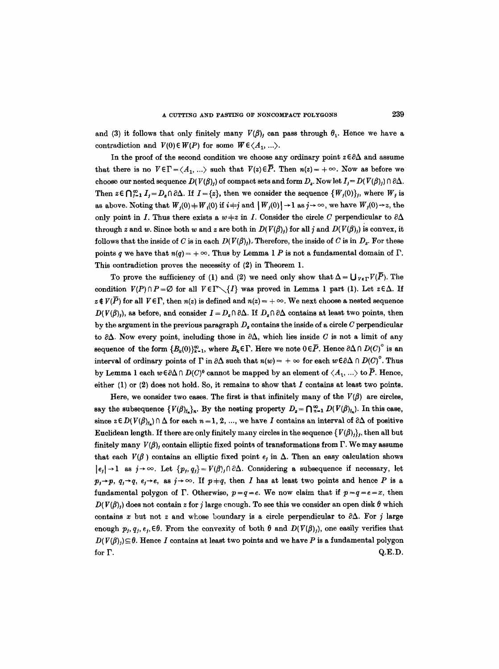and (3) it follows that only finitely many  $V(\beta)$ , can pass through  $\theta_1$ . Hence we have a contradiction and  $V(0) \in W(P)$  for some  $W \in \langle A_1, \ldots \rangle$ .

In the proof of the second condition we choose any ordinary point  $z \in \partial \Delta$  and assume that there is no  $V \in \Gamma = \langle A_1, ...\rangle$  such that  $V(z) \in \overline{P}$ . Then  $n(z) = +\infty$ . Now as before we choose our nested sequence  $D(V(\beta))$  of compact sets and form  $D_z$ . Now let  $I_j = D(V(\beta)) \cap \partial \Delta$ . Then  $z \in \bigcap_{i=1}^{\infty} I_i = D_i \cap \partial \Delta$ . If  $I = \{z\}$ , then we consider the sequence  $\{W_i(0)\}\,$ , where  $W_i$  is as above. Noting that  $W_j(0) = W_j(0)$  if  $i \neq j$  and  $|W_j(0)| \to 1$  as  $j \to \infty$ , we have  $W_j(0) \to z$ , the only point in I. Thus there exists a  $w \neq z$  in I. Consider the circle C perpendicular to  $\partial \Delta$ through z and w. Since both w and z are both in  $D(V(\beta))$  for all j and  $D(V(\beta))$  is convex, it follows that the inside of C is in each  $D(V(\beta))$ . Therefore, the inside of C is in  $D_z$ . For these points q we have that  $n(q) = +\infty$ . Thus by Lemma 1 P is not a fundamental domain of  $\Gamma$ . This contradiction proves the necessity of (2) in Theorem 1.

To prove the sufficiency of (1) and (2) we need only show that  $\Delta = \bigcup_{V \in \Gamma} V(\overline{P})$ . The condition  $V(P) \cap P = \emptyset$  for all  $V \in \Gamma \setminus \{I\}$  was proved in Lemma 1 part (1). Let  $z \in \Delta$ . If  $z \notin V(\overline{P})$  for all  $V \in \Gamma$ , then  $n(z)$  is defined and  $n(z) = +\infty$ . We next choose a nested sequence  $D(V(\beta))$ , as before, and consider  $I = D_{z} \cap \partial \Delta$ . If  $D_{z} \cap \partial \Delta$  contains at least two points, then by the argument in the previous paragraph  $D_z$  contains the inside of a circle C perpendicular to  $\partial \Delta$ . Now every point, including those in  $\partial \Delta$ , which lies inside C is not a limit of any sequence of the form  ${B_k(0)}_{k=1}^{\infty}$ , where  $B_k \in \Gamma$ . Here we note  $0 \in \overline{P}$ . Hence  $\partial \Delta \cap D(C)^\circ$  is an interval of ordinary points of  $\Gamma$  in  $\partial\Delta$  such that  $n(w) = +\infty$  for each  $w \in \partial\Delta \cap D(C)^\circ$ . Thus by Lemma 1 each  $w \in \partial \Delta \cap D(C)^0$  cannot be mapped by an element of  $\langle A_1, ...\rangle$  to  $\overline{P}$ . Hence, either  $(1)$  or  $(2)$  does not hold. So, it remains to show that  $I$  contains at least two points.

Here, we consider two cases. The first is that infinitely many of the  $V(\beta)$  are circles, say the subsequence  $\{V(\beta)_{j_n}\}_n$ . By the nesting property  $D_z = \bigcap_{n=1}^{\infty} D(V(\beta)_{j_n})$ . In this case, since  $z \in D(V(\beta), \Delta)$  for each  $n = 1, 2, ...$ , we have I contains an interval of  $\partial \Delta$  of positive Euclidean length. If there are only finitely many circles in the sequence  $\{V(\beta)_i\}$ , then all but finitely many  $V(\beta)$ , contain elliptic fixed points of transformations from  $\Gamma$ . We may assume that each  $V(\beta)$  contains an elliptic fixed point e<sub>i</sub> in  $\Delta$ . Then an easy calculation shows  $|e_j| \rightarrow 1$  as  $j \rightarrow \infty$ . Let  $\{p_j, q_j\} = V(\beta)_j \cap \partial \Delta$ . Considering a subsequence if necessary, let  $p_i \rightarrow p, q_i \rightarrow q, e_i \rightarrow e$ , as  $j \rightarrow \infty$ . If  $p+q$ , then I has at least two points and hence P is a fundamental polygon of  $\Gamma$ . Otherwise,  $p = q = e$ . We now claim that if  $p = q = e = x$ , then  $D(V(\beta))$  does not contain z for j large enough. To see this we consider an open disk  $\theta$  which contains x but not z and whose boundary is a circle perpendicular to  $\partial \Delta$ . For j large enough  $p_j, q_j, \varepsilon_j, \in \theta$ . From the convexity of both  $\theta$  and  $D(V(\beta_j))$ , one easily verifies that  $D(V(\beta)) \subseteq \theta$ . Hence I contains at least two points and we have P is a fundamental polygon for  $\Gamma$ . Q.E.D.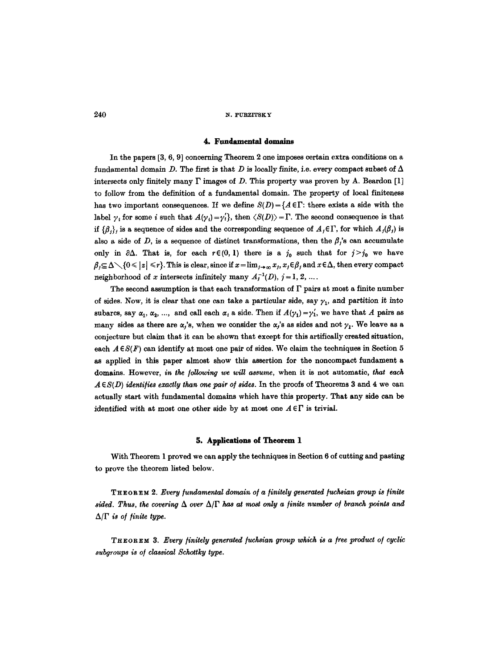### **4. Fundamental domains**

In the papers  $[3, 6, 9]$  concerning Theorem 2 one imposes certain extra conditions on a fundamental domain D. The first is that D is locally finite, i.e. every compact subset of  $\Delta$ intersects only finitely many  $\Gamma$  images of D. This property was proven by A. Beardon [1] to follow from the definition of a fundamental domain. The property of local finiteness has two important consequences. If we define  $S(D)=\{A \in \Gamma:$  there exists a side with the label  $\gamma_i$  for some i such that  $A(\gamma_i)=\gamma'_i$ , then  $\langle S(D)\rangle=\Gamma$ . The second consequence is that if  ${g_i}$ , is a sequence of sides and the corresponding sequence of  $A_i \in \Gamma$ , for which  $A_i(\beta_i)$  is also a side of D, is a sequence of distinct transformations, then the  $\beta_i$ 's can accumulate only in  $\partial \Delta$ . That is, for each  $r \in (0, 1)$  there is a  $j_0$  such that for  $j > j_0$  we have  $\beta_j \subseteq \Delta \setminus \{0 \leq |z| \leq r\}.$  This is clear, since if  $x = \lim_{j \to \infty} x_j$ ,  $x_j \in \beta_j$  and  $x \in \Delta$ , then every compact neighborhood of x intersects infinitely many  $A_i^{-1}(D)$ ,  $j = 1, 2, ...$ .

The second assumption is that each transformation of  $\Gamma$  pairs at most a finite number of sides. Now, it is clear that one can take a particular side, say  $\gamma_1$ , and partition it into subarcs, say  $\alpha_1, \alpha_2, ...,$  and call each  $\alpha_i$  a side. Then if  $A(\gamma_1) = \gamma'_1$ , we have that A pairs as many sides as there are  $\alpha$ ,'s, when we consider the  $\alpha$ ,'s as sides and not  $\gamma_1$ . We leave as a conjecture but claim that it can be shown that except for this artifically created situation, each  $A \in S(F)$  can identify at most one pair of sides. We claim the techniques in Section 5 as applied in this paper almost show this assertion for the noncompact fundament a domains. However, *in the following we will assume,* when it is not automatic, *that each*   $A \in S(D)$  identifies exactly than one pair of sides. In the proofs of Theorems 3 and 4 we can actually start with fundamental domains which have this property. That any side can be identified with at most one other side by at most one  $A \in \Gamma$  is trivial.

#### **5. Applications of Theorem 1**

With Theorem I proved we can apply the techniques in Section 6 of cutting and pasting to prove the theorem listed below.

THEOREM 2. *Every fundamental domain o/a finitely generated fuvkslan group is finite*   $sided.$  Thus, the covering  $\Delta$  over  $\Delta/\Gamma$  has at most only a finite number of branch points and  $\Delta/\Gamma$  *is of finite type.* 

THEOREM 3, *Every finitely generated/uchsian group which is a free product of cyclic subgroups is of classical Schottky type.*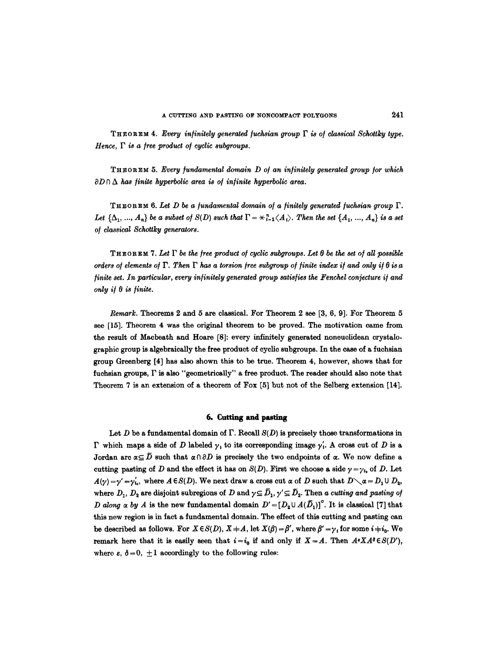THEOREM 4. *Every infinitely generated fuchsian group P is of classical Schottky type. Hence, F is a free product of cyclic subgroups.* 

THEOREM 5. *Every fundamental domain D o/an infinitely generated group for which*   $\partial D \cap \Delta$  has finite hyperbolic area is of infinite hyperbolic area.

THEOREM 6. *Let D be a fundamental domain of a finitely generated fuchsian group P.*  Let  $\{\Delta_1, ..., A_n\}$  be a subset of  $S(D)$  such that  $\Gamma = \underset{i=1}{\star}^n \langle A_i \rangle$ . Then the set  $\{A_1, ..., A_n\}$  is a set *of classical Schottky generators.* 

THEOREM 7. Let  $\Gamma$  be the free product of cyclic subgroups. Let  $\theta$  be the set of all possible *orders of elements of*  $\Gamma$ . Then  $\Gamma$  has a torsion free subgroup of finite index if and only if  $\theta$  is a *finite set. In particular, every infinitely generated group satisfies the Fenchel conjecture if and*  $only if  $\theta$  is finite.$ 

*Remark.* Theorems 2 and 5 are classical. For Theorem 2 see [3, 6, 9]. For Theorem 5 see [15]. Theorem 4 was the original theorem to be proved. The motivation came from the result of Macbeath and Hoare [8]: every infinitely generated noneuclidean crystalographic group is algebraically the free product of cyclic subgroups. In the case of a fuchsian group Greenberg [4] has also shown this to be true. Theorem 4, however, shows that for fuchsian groups, F is also "geometrically" a free product. The reader should also note that Theorem 7 is an extension of a theorem of Fox [5] but not of the Selberg extension [14].

# 6. Cutting and pasting

Let D be a fundamental domain of  $\Gamma$ . Recall  $S(D)$  is precisely those transformations in  $\Gamma$  which maps a side of D labeled  $\gamma_i$  to its corresponding image  $\gamma'_i$ . A cross cut of D is a Jordan arc  $\alpha \subseteq \overline{D}$  such that  $\alpha \cap \partial D$  is precisely the two endpoints of  $\alpha$ . We now define a cutting pasting of D and the effect it has on  $S(D)$ . First we choose a side  $\gamma = \gamma_{i}$  of D. Let  $A(\gamma) = \gamma' = \gamma'_{10}$ , where  $A \in S(D)$ . We next draw a cross cut  $\alpha$  of D such that  $D \setminus \alpha = D_1 \cup D_2$ , where  $D_1$ ,  $D_2$  are disjoint subregions of D and  $\gamma \subseteq \overline{D}_1$ ,  $\gamma' \subseteq \overline{D}_2$ . Then a *cutting and pasting of D* along  $\alpha$  by A is the new fundamental domain  $D'=[D_2\cup A(\overline{D}_1)]^{\circ}$ . It is classical [7] that this new region is in fact a fundamental domain. The effect of this cutting and pasting can be described as follows. For  $X \in S(D)$ ,  $X + A$ , let  $X(\beta) = \beta'$ , where  $\beta' = \gamma_i$  for some  $i \neq i_0$ . We remark here that it is easily seen that  $i=i_0$  if and only if  $X=A$ . Then  $A^sXA^s\in S(D')$ , where  $\varepsilon$ ,  $\delta = 0$ ,  $\pm 1$  accordingly to the following rules: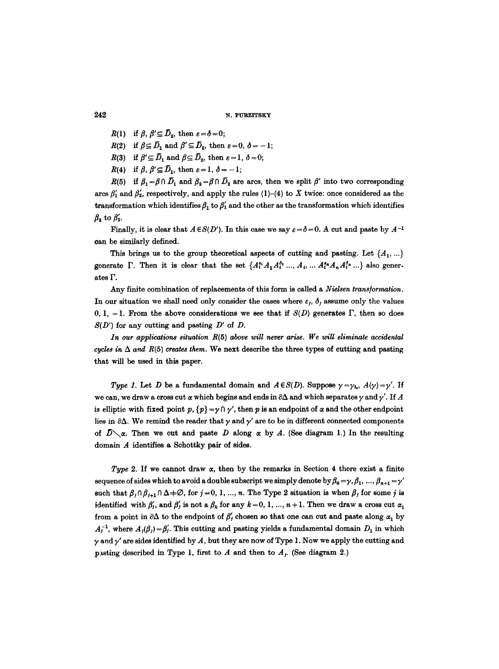- $R(1)$  if  $\beta, \beta' \subseteq D_2$ , then  $\varepsilon = \delta = 0$ ;
- $R(2)$  if  $\beta \subseteq \overline{D}_1$  and  $\beta' \subseteq \overline{D}_2$ , then  $\varepsilon = 0$ ,  $\delta = -1$ ;
- $R(3)$  if  $\beta' \subseteq D_1$  and  $\beta \subseteq D_2$ , then  $\varepsilon = 1, \delta = 0;$
- $R(4)$  if  $\beta, \beta' \subseteq D_1$ , then  $\varepsilon = 1, \delta = -1$ ;

 $R(5)$  if  $\beta_1 = \beta \cap D_1$  and  $\beta_2 = \beta \cap D_2$  are arcs, then we split  $\beta'$  into two corresponding arcs  $\beta'_1$  and  $\beta'_2$ , respectively, and apply the rules (1)-(4) to X twice: once considered as the transformation which identifies  $\beta_1$  to  $\beta_1'$  and the other as the transformation which identifies  $\beta_2$  to  $\beta'_2$ .

Finally, it is clear that  $A \in S(D')$ . In this case we say  $\varepsilon = \delta = 0$ . A cut and paste by  $A^{-1}$ can be similarly defined.

This brings us to the group theoretical aspects of cutting and pasting. Let  $\{A_1, ...\}$ generate  $\Gamma$ . Then it is clear that the set  $\{A_i^{s_1}A_1A_i^{s_1}..., A_i, \dots A_i^{s_n}A_nA_i^{s_n}...\}$  also generates F.

Any finite combination of replacements of this form is called a *Nielsen transformation.*  In our situation we shall need only consider the cases where  $\varepsilon_i$ ,  $\delta_i$  assume only the values 0, 1, -1. From the above considerations we see that if  $S(D)$  generates  $\Gamma$ , then so does  $S(D')$  for any cutting and pasting  $D'$  of  $D$ .

In our applications situation  $R(5)$  above will never arise. We will eliminate accidental *cycles in*  $\Delta$  *and*  $R(5)$  *creates them.* We next describe the three types of cutting and pasting that will be used in this paper.

*Type 1.* Let *D* be a fundamental domain and  $A \in S(D)$ . Suppose  $\gamma = \gamma_{i_0}$ ,  $A(\gamma) = \gamma'$ . If we can, we draw a cross cut  $\alpha$  which begins and ends in  $\partial \Delta$  and which separates  $\gamma$  and  $\gamma'$ . If A is elliptic with fixed point p,  $\{p\} = \gamma \cap \gamma'$ , then p is an endpoint of  $\alpha$  and the other endpoint lies in  $\partial \Delta$ . We remind the reader that  $\gamma$  and  $\gamma'$  are to be in different connected components of  $\bar{D}\setminus\alpha$ . Then we cut and paste D along  $\alpha$  by A. (See diagram 1.) In the resulting domain A identifies a Schottky pair of sides.

*Type* 2. If we cannot draw  $\alpha$ , then by the remarks in Section 4 there exist a finite sequence of sides which to avoid a double subscript we simply denote by  $\beta_0 = \gamma$ ,  $\beta_1$ , ...,  $\beta_{n+1} = \gamma'$ such that  $\beta_j \cap \beta_{j+1} \cap \Delta \neq \emptyset$ , for  $j=0, 1, ..., n$ . The Type 2 situation is when  $\beta_j$  for some j is identified with  $\beta'_l$ , and  $\beta'_l$  is not a  $\beta_k$  for any  $k=0, 1, ..., n+1$ . Then we draw a cross cut  $\alpha_1$ from a point in  $\partial \Delta$  to the endpoint of  $\beta'$ , chosen so that one can cut and paste along  $\alpha_1$  by  $A_f^{-1}$ , where  $A_f(\beta_f) = \beta'_f$ . This cutting and pasting yields a fundamental domain  $D_1$  in which  $\gamma$  and  $\gamma'$  are sides identified by A, but they are now of Type 1. Now we apply the cutting and pasting described in Type 1, first to A and then to  $A_t$ . (See diagram 2.)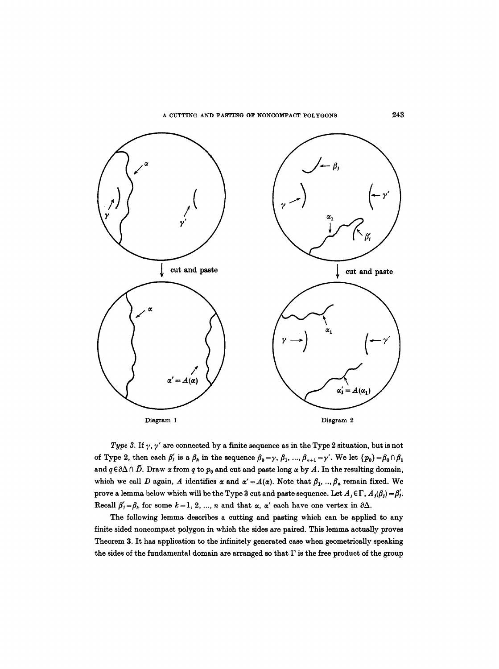

*Type 3.* If  $\gamma$ ,  $\gamma'$  are connected by a finite sequence as in the Type 2 situation, but is not of Type 2, then each  $\beta'_{1}$  is a  $\beta_{k}$  in the sequence  $\beta_{0} = \gamma$ ,  $\beta_{1}$ , ...,  $\beta_{n+1} = \gamma'$ . We let  $\{p_{0}\} = \beta_{0} \cap \beta_{1}$ and  $q \in \partial \Delta \cap \overline{D}$ . Draw  $\alpha$  from q to  $p_0$  and cut and paste long  $\alpha$  by A. In the resulting domain, which we call D again, A identifies  $\alpha$  and  $\alpha' = A(\alpha)$ . Note that  $\beta_1, ..., \beta_n$  remain fixed. We prove a lemma below which will be the Type 3 cut and paste sequence. Let  $A_j \in \Gamma$ ,  $A_j(\beta_j) = \beta'_j$ . Recall  $\beta'_j = \beta_k$  for some  $k = 1, 2, ..., n$  and that  $\alpha$ ,  $\alpha'$  each have one vertex in  $\partial \Delta$ .

The following lemma describes a cutting and pasting which can be applied to any finite sided noncompact polygon in which the sides are paired. This lemma actually proves Theorem 3. It has application to the infinitely generated case when geometrically speaking the sides of the fundamental domain are arranged so that  $\Gamma$  is the free product of the group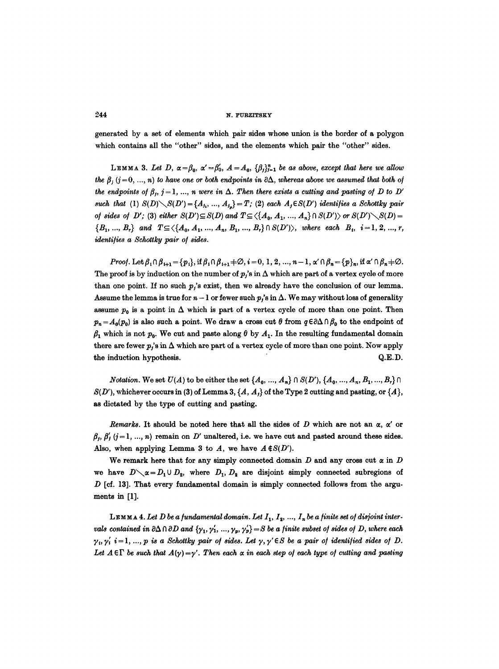generated by a set of elements which pair sides whose union is the border of a polygon which contains all the "other" sides, and the elements which pair the "other" sides.

LEMMA 3. Let D,  $\alpha = \beta_0$ ,  $\alpha' = \beta'_0$ ,  $A = A_0$ ,  $\{\beta_j\}_{j=1}^n$  be as above, except that here we allow the  $\beta$ ,  $(j = 0, ..., n)$  to have one or both endpoints in  $\partial \Delta$ , whereas above we assumed that both of *the endpoints of*  $\beta_i$ *, j=1, ..., n were in*  $\Delta$ . Then there exists a cutting and pasting of D to D' *such that* (1)  $S(D) \setminus S(D') = \{A_{j_1}, ..., A_{j_n}\} = T$ ; (2) each  $A_j \in S(D')$  identifies a Schottky pair *of sides of D';* (3) *either*  $S(D') \subseteq S(D)$  and  $T \subseteq \langle \{A_0, A_1, ..., A_n\} \cap S(D') \rangle$  or  $S(D') \setminus S(D) =$  $\{B_1, ..., B_r\}$  and  $T \subseteq \{A_0, A_1, ..., A_n, B_1, ..., B_r\} \cap S(D')$ , where each  $B_i$ , i=1, 2, ..., r, *identifies a Schottky pair of sides.* 

Proof. Let  $\beta_i \cap \beta_{i+1} = \{p_i\}$ , if  $\beta_i \cap \beta_{i+1} \neq \emptyset$ ,  $i = 0, 1, 2, ..., n-1$ ,  $\alpha' \cap \beta_n = \{p\}_n$ , if  $\alpha' \cap \beta_n \neq \emptyset$ . The proof is by induction on the number of  $p_i$ 's in  $\Delta$  which are part of a vertex cycle of more than one point. If no such  $p_i$ 's exist, then we already have the conclusion of our lemma. Assume the lemma is true for  $n-1$  or fewer such  $p_i$ 's in  $\Delta$ . We may without loss of generality assume  $p_0$  is a point in  $\Delta$  which is part of a vertex cycle of more than one point. Then  $p_n = A_0(p_0)$  is also such a point. We draw a cross cut  $\theta$  from  $q \in \partial \Delta \cap \beta_0$  to the endpoint of  $\beta_1$  which is not  $p_0$ . We cut and paste along  $\theta$  by  $A_1$ . In the resulting fundamental domain there are fewer  $p_i$ 's in  $\Delta$  which are part of a vertex cycle of more than one point. Now apply the induction hypothesis.  $Q.E.D.$ 

*Notation.* We set  $U(A)$  to be either the set  $\{A_0, ..., A_n\} \cap S(D')$ ,  $\{A_0, ..., A_n, B_1, ..., B_r\} \cap$  $S(D')$ , whichever occurs in (3) of Lemma 3,  $\{A, A_j\}$  of the Type 2 cutting and pasting, or  $\{A\}$ , as dictated by the type of cutting and pasting.

*Remarks.* It should be noted here that all the sides of D which are not an  $\alpha$ ,  $\alpha'$  or  $\beta_i$ ,  $\beta'_i$  (j = 1, ..., n) remain on D' unaltered, i.e. we have cut and pasted around these sides. Also, when applying Lemma 3 to A, we have  $A \notin S(D')$ .

We remark here that for any simply connected domain  $D$  and any cross cut  $\alpha$  in  $D$ we have  $D \setminus \alpha = D_1 \cup D_2$ , where  $D_1, D_2$  are disjoint simply connected subregions of  $D$  [cf. 13]. That every fundamental domain is simply connected follows from the arguments in **[1].** 

LEMMA 4. Let D be a fundamental domain. Let  $I_1$ ,  $I_2$ , ...,  $I_n$  be a finite set of disjoint inter*vals contained in*  $\partial \Delta \cap \partial D$  and  $\{\gamma_1, \gamma_1, ..., \gamma_p, \gamma_p'\} = S$  be a finite subset of sides of D, where each  $\gamma_i, \gamma'_i$   $i=1, ..., p$  is a Schottky pair of sides. Let  $\gamma, \gamma' \in S$  be a pair of identified sides of D. Let  $A \in \Gamma$  be such that  $A(\gamma) = \gamma'$ . Then each  $\alpha$  in each step of each type of cutting and pasting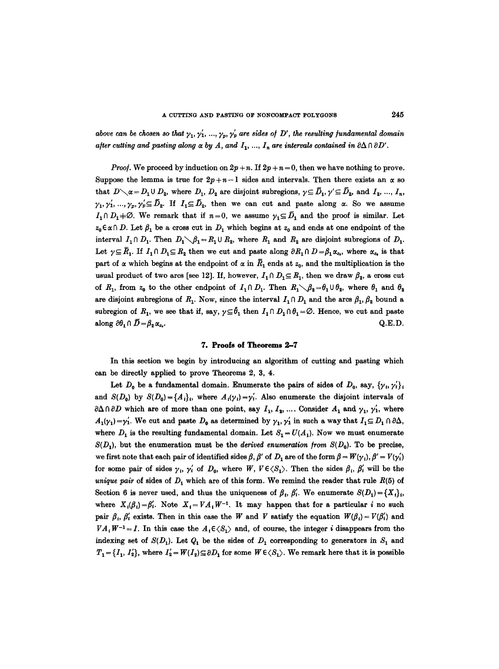above can be chosen so that  $\gamma_1, \gamma_1, ..., \gamma_n, \gamma_p'$  are sides of D', the resulting fundamental domain *after cutting and pasting along*  $\alpha$  *by A, and I<sub>1</sub>, ..., I<sub>n</sub> are intervals contained in*  $\partial \Delta \cap \partial D'$ *.* 

*Proof.* We proceed by induction on  $2p + n$ . If  $2p + n = 0$ , then we have nothing to prove. Suppose the lemma is true for  $2p+n-1$  sides and intervals. Then there exists an  $\alpha$  so that  $D\setminus \alpha = D_1 \cup D_2$ , where  $D_1, D_2$  are disjoint subregions,  $\gamma \subseteq \overline{D}_1, \gamma' \subseteq \overline{D}_2$ , and  $I_2, ..., I_n$ ,  $\gamma_1, \gamma_1', ..., \gamma_n, \gamma_2' \subseteq \bar{D}_2$ . If  $I_1 \subseteq \bar{D}_2$ , then we can cut and paste along  $\alpha$ . So we assume  $I_1 \cap D_1 \neq \emptyset$ . We remark that if  $n=0$ , we assume  $\gamma_1 \subseteq \overline{D}_1$  and the proof is similar. Let  $z_0 \in \alpha \cap D$ . Let  $\beta_1$  be a cross cut in  $D_1$  which begins at  $z_0$  and ends at one endpoint of the interval  $I_1 \cap D_1$ . Then  $D_1 \setminus \beta_1 = R_1 \cup R_2$ , where  $R_1$  and  $R_2$  are disjoint subregions of  $D_1$ . Let  $\gamma \subseteq \overline{R}_1$ . If  $I_1 \cap D_1 \subseteq R_2$  then we cut and paste along  $\partial R_1 \cap D = \beta_1 \alpha_{z_0}$ , where  $\alpha_{z_0}$  is that part of  $\alpha$  which begins at the endpoint of  $\alpha$  in  $\bar{R}_1$  ends at  $z_0$ , and the multiplication is the usual product of two arcs [see 12]. If, however,  $I_1 \cap D_1 \subseteq R_1$ , then we draw  $\beta_2$ , a cross cut of  $R_1$ , from  $z_0$  to the other endpoint of  $I_1 \cap D_1$ . Then  $R_1 \setminus \beta_2 = \theta_1 \cup \theta_2$ , where  $\theta_1$  and  $\theta_2$ are disjoint subregions of  $R_1$ . Now, since the interval  $I_1 \cap D_1$  and the arcs  $\beta_1, \beta_2$  bound a subregion of  $R_1$ , we see that if, say,  $\gamma \subseteq \bar{\theta}_1$  then  $I_1 \cap D_1 \cap \theta_1 = \emptyset$ . Hence, we cut and paste along  $\partial \theta_1 \cap \bar{D} = \beta_2 \alpha_{z_0}$ . Q.E.D.

## **7. Proofs of Theorems 2-7**

In this section we begin by introducing an algorithm of cutting and pasting which can be directly applied to prove Theorems 2, 3, 4.

Let  $D_0$  be a fundamental domain. Enumerate the pairs of sides of  $D_0$ , say,  $\{\gamma_1, \gamma_1'\}$ and  $S(D_0)$  by  $S(D_0) = \{A_i\}$ , where  $A_i(\gamma_i) = \gamma'_i$ . Also enumerate the disjoint intervals of  $\partial \Delta \cap \partial D$  which are of more than one point, say  $I_1, I_2, \ldots$ . Consider  $A_1$  and  $\gamma_1, \gamma'_1$ , where  $A_1(\gamma_1) = \gamma'_1$ . We cut and paste  $D_0$  as determined by  $\gamma_1, \gamma'_1$  in such a way that  $I_1 \subseteq D_1 \cap \partial \Delta$ , where  $D_1$  is the resulting fundamental domain. Let  $S_1 = U(A_1)$ . Now we must enumerate  $S(D_1)$ , but the enumeration must be the *derived enumeration from*  $S(D_0)$ . To be precise, we first note that each pair of identified sides  $\beta$ ,  $\beta'$  of D<sub>1</sub> are of the form  $\beta = W(\gamma_i), \beta' = V(\gamma'_i)$ for some pair of sides  $\gamma_i$ ,  $\gamma'_i$  of  $D_0$ , where W,  $V \in \langle S_1 \rangle$ . Then the sides  $\beta_i$ ,  $\beta'_i$  will be the *unique pair* of sides of  $D_1$  which are of this form. We remind the reader that rule  $R(5)$  of Section 6 is never used, and thus the uniqueness of  $\beta_t$ ,  $\beta'_t$ . We enumerate  $S(D_1)=\{X_t\}_t$ , where  $X_i(\beta_i) = \beta'_i$ . Note  $X_i = VA_i W^{-1}$ . It may happen that for a particular i no such pair  $\beta_i$ ,  $\beta'_i$  exists. Then in this case the W and V satisfy the equation  $W(\beta_i)=V(\beta'_i)$  and  $VA_i W^{-1} = I$ . In this case the  $A_i \in \langle S_1 \rangle$  and, of course, the integer i disappears from the indexing set of  $S(D_1)$ . Let  $Q_1$  be the sides of  $D_1$  corresponding to generators in  $S_1$  and  $T_1 = \{I_1, I'_2\}$ , where  $I'_2 = W(I_2) \subseteq \partial D_1$  for some  $W \in \langle S_1 \rangle$ . We remark here that it is possible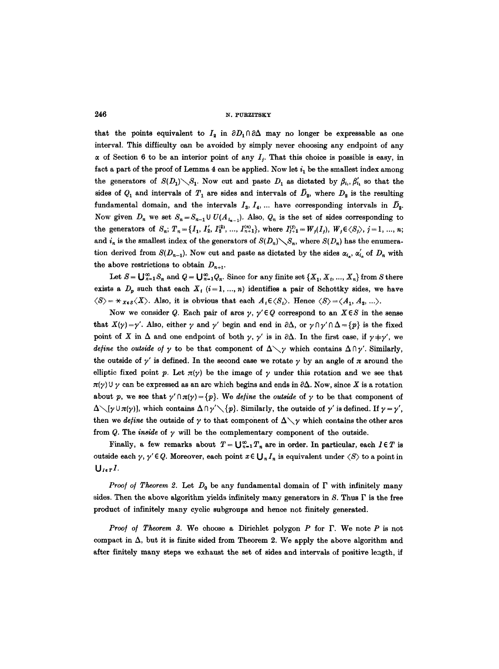that the points equivalent to  $I_2$  in  $\partial D_1 \cap \partial \Delta$  may no longer be expressable as one interval. This difficulty can be avoided by simply never choosing any endpoint of any  $\alpha$  of Section 6 to be an interior point of any  $I_i$ . That this choice is possible is easy, in fact a part of the proof of Lemma 4 can be applied. Now let  $i_1$  be the smallest index among the generators of  $S(D_1) \setminus S_1$ . Now cut and paste  $D_1$  as dictated by  $\beta_i$ ,  $\beta'_i$ , so that the sides of  $Q_1$  and intervals of  $T_1$  are sides and intervals of  $\bar{D}_2$ , where  $D_2$  is the resulting fundamental domain, and the intervals  $I_3$ ,  $I_4$ , ... have corresponding intervals in  $\bar{D}_2$ . Now given  $D_n$  we set  $S_n = S_{n-1} \cup U(A_{i_{n-1}})$ . Also,  $Q_n$  is the set of sides corresponding to the generators of  $S_n$ ;  $T_n = \{I_1, I_2', I_3^{(2)}, ..., I_{n+1}^{(n)}\}$ , where  $I_{j+1}^{(i)} = W_j(I_j), W_j \in \langle S_j \rangle$ ,  $j = 1, ..., n$ ; and  $i_n$  is the smallest index of the generators of  $S(D_n)\diagdown S_n$ , where  $S(D_n)$  has the enumeration derived from  $S(D_{n-1})$ . Now cut and paste as dictated by the sides  $\alpha_i$ ,  $\alpha'_i$  of  $D_n$  with the above restrictions to obtain  $D_{n+1}$ .

Let  $S = \bigcup_{n=1}^{\infty} S_n$  and  $Q = \bigcup_{n=1}^{\infty} Q_n$ . Since for any finite set  $\{X_1, X_i, ..., X_n\}$  from S there exists a  $D_p$  such that each  $X_i$  (i=1, ..., n) identifies a pair of Schottky sides, we have  $\langle S \rangle = \star_{X \in S} \langle X \rangle$ . Also, it is obvious that each  $A_i \in \langle S_i \rangle$ . Hence  $\langle S \rangle = \langle A_1, A_2, ... \rangle$ .

Now we consider Q. Each pair of arcs  $\gamma$ ,  $\gamma' \in Q$  correspond to an  $X \in S$  in the sense that  $X(\gamma) = \gamma'$ . Also, either  $\gamma$  and  $\gamma'$  begin and end in  $\partial \Delta$ , or  $\gamma \cap \gamma' \cap \Delta = {\gamma}$  is the fixed point of X in  $\Delta$  and one endpoint of both  $\gamma$ ,  $\gamma'$  is in  $\partial \Delta$ . In the first case, if  $\gamma + \gamma'$ , we *define* the *outside of*  $\gamma$  to be that component of  $\Delta \searrow \gamma$  which contains  $\Delta \cap \gamma'$ . Similarly, the outside of  $\gamma'$  is defined. In the second case we rotate  $\gamma$  by an angle of  $\pi$  around the elliptic fixed point p. Let  $\pi(y)$  be the image of y under this rotation and we see that  $\pi(\gamma) \cup \gamma$  can be expressed as an arc which begins and ends in  $\partial \Delta$ . Now, since X is a rotation about p, we see that  $\gamma' \cap \pi(\gamma) = \{p\}$ . We *define* the *outside* of  $\gamma$  to be that component of  $\Delta\setminus[\gamma\cup\pi(\gamma)]$ , which contains  $\Delta\cap\gamma'\setminus\{p\}$ . Similarly, the outside of  $\gamma'$  is defined. If  $\gamma=\gamma'$ , then we *define* the outside of  $\gamma$  to that component of  $\Delta \setminus \gamma$  which contains the other arcs from Q. The *inside* of  $\gamma$  will be the complementary component of the outside.

Finally, a few remarks about  $T = \bigcup_{n=1}^{\infty} T_n$  are in order. In particular, each  $I \in T$  is outside each  $\gamma$ ,  $\gamma' \in Q$ . Moreover, each point  $x \in \bigcup_{n} I_n$  is equivalent under  $\langle S \rangle$  to a point in  $U_{I\epsilon T} I$ .

*Proof of Theorem 2.* Let  $D_0$  be any fundamental domain of  $\Gamma$  with infinitely many sides. Then the above algorithm yields infinitely many generators in  $S$ . Thus  $\Gamma$  is the free product of infinitely many cyclic subgroups and hence not finitely generated.

*Proo!* of Theorem 3. We choose a Dirichlet polygon P for  $\Gamma$ . We note P is not compact in  $\Delta$ , but it is finite sided from Theorem 2. We apply the above algorithm and after finitely many steps we exhaust the set of sides and intervals of positive length, if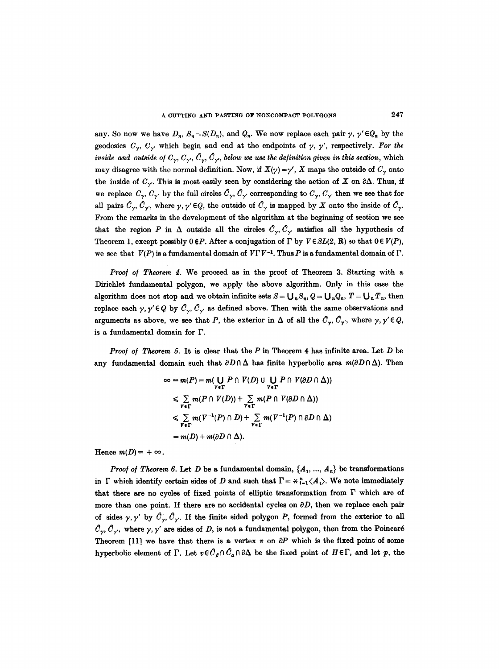any. So now we have  $D_n$ ,  $S_n = S(D_n)$ , and  $Q_n$ . We now replace each pair  $\gamma$ ,  $\gamma' \in Q_n$  by the geodesics  $C_{\gamma}$ ,  $C_{\gamma}$  which begin and end at the endpoints of  $\gamma$ ,  $\gamma'$ , respectively. For the *inside and outside of*  $C_{\gamma}, C_{\gamma}, C_{\gamma}, C_{\gamma}$ *, below we use the definition given in this section, which* may disagree with the normal definition. Now, if  $X(\gamma) = \gamma'$ , X maps the outside of  $C_{\gamma}$  onto the inside of  $C_{\gamma}$ . This is most easily seen by considering the action of X on  $\partial \Delta$ . Thus, if we replace  $C_{\gamma}, C_{\gamma'}$  by the full circles  $\hat{C}_{\gamma}, \hat{C}_{\gamma'}$  corresponding to  $C_{\gamma}, C_{\gamma'}$  then we see that for all pairs  $\hat{C}_{\gamma}, \hat{C}_{\gamma}$ , where  $\gamma, \gamma' \in Q$ , the outside of  $\hat{C}_{\gamma}$  is mapped by X onto the inside of  $\hat{C}_{\gamma}$ . From the remarks in the development of the algorithm at the beginning of section we see that the region P in  $\Delta$  outside all the circles  $\mathcal{C}_{\gamma}, \mathcal{C}_{\gamma}$ , satisfies all the hypothesis of Theorem 1, except possibly  $0 \notin P$ . After a conjugation of  $\Gamma$  by  $V \in SL(2, \mathbf{R})$  so that  $0 \in V(P)$ , we see that  $V(P)$  is a fundamental domain of  $V\Gamma V^{-1}$ . Thus P is a fundamental domain of  $\Gamma$ .

*Proof of Theorem 4.* We proceed as in the proof of Theorem 3. Starting with a Dirichlet fundamental polygon, we apply the above algorithm. Only in this case the algorithm does not stop and we obtain infinite sets  $S = \bigcup_n S_n$ ,  $Q = \bigcup_n Q_n$ ,  $T = \bigcup_n T_n$ , then replace each  $\gamma$ ,  $\gamma' \in Q$  by  $\mathcal{C}_{\gamma}$ ,  $\mathcal{C}_{\gamma'}$  as defined above. Then with the same observations and arguments as above, we see that P, the exterior in  $\Delta$  of all the  $\mathcal{C}_{\gamma}, \mathcal{C}_{\gamma'}$ , where  $\gamma, \gamma' \in \mathcal{Q}$ , is a fundamental domain for F.

*Proof of Theorem 5.* It is clear that the P in Theorem 4 has infinite area. Let D be any fundamental domain such that  $\partial D \cap \Delta$  has finite hyperbolic area  $m(\partial D \cap \Delta)$ . Then

$$
\infty = m(P) = m(\bigcup_{V \in \Gamma} P \cap V(D) \cup \bigcup_{V \in \Gamma} P \cap V(\partial D \cap \Delta))
$$
  
\n
$$
\leq \sum_{V \in \Gamma} m(P \cap V(D)) + \sum_{V \in \Gamma} m(P \cap V(\partial D \cap \Delta))
$$
  
\n
$$
\leq \sum_{V \in \Gamma} m(V^{-1}(P) \cap D) + \sum_{V \in \Gamma} m(V^{-1}(P) \cap \partial D \cap \Delta)
$$
  
\n
$$
= m(D) + m(\partial D \cap \Delta).
$$

Hence  $m(D) = +\infty$ .

*Proof of Theorem 6.* Let D be a fundamental domain,  $\{A_1, ..., A_n\}$  be transformations in  $\Gamma$  which identify certain sides of D and such that  $\Gamma = \mathcal{H}_{-1}^*(A_i)$ . We note immediately that there are no cycles of fixed points of elliptic transformation from  $\Gamma$  which are of more than one point. If there are no accidental cycles on  $\partial D$ , then we replace each pair of sides  $\gamma$ ,  $\gamma'$  by  $\hat{C}_{\gamma}$ ,  $\hat{C}_{\gamma'}$ . If the finite sided polygon P, formed from the exterior to all  $\mathcal{C}_{\gamma}, \mathcal{C}_{\gamma}$ , where  $\gamma, \gamma'$  are sides of D, is not a fundamental polygon, then from the Poincaré Theorem [11] we have that there is a vertex  $v$  on  $\partial P$  which is the fixed point of some hyperbolic element of  $\Gamma$ . Let  $v \in \mathcal{C}_{\beta} \cap \mathcal{C}_{\alpha} \cap \partial \Delta$  be the fixed point of  $H \in \Gamma$ , and let p, the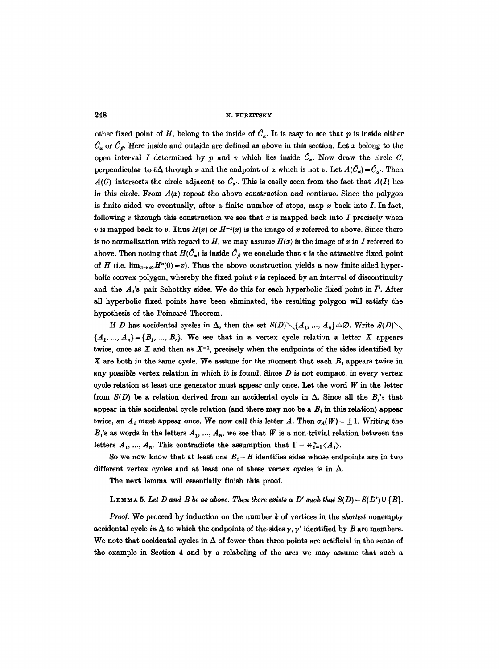other fixed point of H, belong to the inside of  $C_{\alpha}$ . It is easy to see that p is inside either  $C_{\alpha}$  or  $C_{\beta}$ . Here inside and outside are defined as above in this section. Let x belong to the open interval I determined by p and v which lies inside  $\hat{C}_\alpha$ . Now draw the circle C, perpendicular to  $\partial \Delta$  through x and the endpoint of  $\alpha$  which is not v. Let  $A(\hat{C}_{\alpha}) = \hat{C}_{\alpha}$ . Then  $A(C)$  intersects the circle adjacent to  $C_{\alpha'}$ . This is easily seen from the fact that  $A(I)$  lies in this circle. From  $A(x)$  repeat the above construction and continue. Since the polygon is finite sided we eventually, after a finite number of steps, map  $x$  back into  $I$ . In fact, following  $v$  through this construction we see that  $x$  is mapped back into  $I$  precisely when v is mapped back to v. Thus  $H(x)$  or  $H^{-1}(x)$  is the image of x referred to above. Since there is no normalization with regard to  $H$ , we may assume  $H(x)$  is the image of x in I referred to above. Then noting that  $H(\hat{C}_{\alpha})$  is inside  $\hat{C}_{\beta}$  we conclude that v is the attractive fixed point of H (i.e.  $\lim_{n\to\infty}H^{n}(0)=v$ ). Thus the above construction yields a new finite sided hyperbolic convex polygon, whereby the fixed point  $v$  is replaced by an interval of discontinuity and the A<sup>'s</sup> pair Schottky sides. We do this for each hyperbolic fixed point in  $\overline{P}$ . After all hyperbolic fixed points have been eliminated, the resulting polygon will satisfy the hypothesis of the Poincaré Theorem.

If D has accidental cycles in  $\Delta$ , then the set  $S(D) \setminus \{A_1, ..., A_n\}$   $\neq \emptyset$ . Write  $S(D) \setminus$  ${A_1, ..., A_n} = {B_1, ..., B_r}$ . We see that in a vertex cycle relation a letter X appears twice, once as X and then as  $X^{-1}$ , precisely when the endpoints of the sides identified by X are both in the same cycle. We assume for the moment that each  $B_t$  appears twice in any possible vertex relation in which it is found. Since  $D$  is not compact, in every vertex cycle relation at least one generator must appear only once. Let the word  $W$  in the letter from  $S(D)$  be a relation derived from an accidental cycle in  $\Delta$ . Since all the  $B_i$ 's that appear in this accidental cycle relation (and there may not be a  $B_i$  in this relation) appear twice, an  $A_i$  must appear once. We now call this letter A. Then  $\sigma_A(W) = \pm 1$ . Writing the  $B_i$ 's as words in the letters  $A_1, ..., A_n$ , we see that W is a non-trivial relation between the letters  $A_1, ..., A_n$ . This contradicts the assumption that  $\Gamma = \underset{i=1}{\star} \langle A_i \rangle$ .

So we now know that at least one  $B_t = B$  identifies sides whose endpoints are in two different vertex cycles and at least one of these vertex cycles is in  $\Delta$ .

The next lemma will essentially finish this proof.

## LEMMA 5. Let D and B be as above. Then there exists a D' such that  $S(D) = S(D') \cup \{B\}$ .

*Proof.* We proceed by induction on the number k of vertices in the *shortest* nonempty accidental cycle *in*  $\Delta$  to which the endpoints of the sides  $\gamma$ ,  $\gamma'$  identified by B are members. We note that accidental cycles in  $\Delta$  of fewer than three points are artificial in the sense of the example in Section 4 and by a relabeling of the arcs we may assume that such a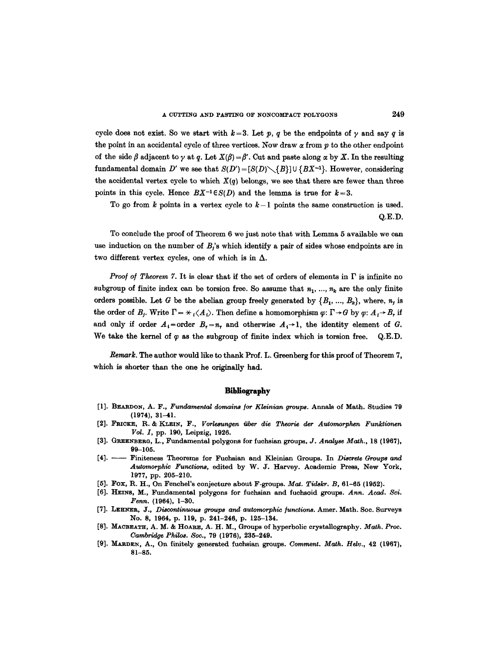cycle does not exist. So we start with  $k=3$ . Let p, q be the endpoints of y and say q is the point in an accidental cycle of three vertices. Now draw  $\alpha$  from  $p$  to the other endpoint of the side  $\beta$  adjacent to  $\gamma$  at q. Let  $X(\beta) = \beta'$ . Cut and paste along  $\alpha$  by X. In the resulting fundamental domain *D'* we see that  $S(D') = [S(D) \setminus \{B\}] \cup \{BX^{-1}\}\$ . However, considering the accidental vertex cycle to which  $X(q)$  belongs, we see that there are fewer than three points in this cycle. Hence  $BX^{-1} \in S(D)$  and the lemma is true for  $k=3$ .

To go from  $k$  points in a vertex cycle to  $k-1$  points the same construction is used. Q.E.D.

To conclude the proof of Theorem 6 we just note that with Lemma 5 available we can use induction on the number of  $B_i$ 's which identify a pair of sides whose endpoints are in two different vertex cycles, one of which is in  $\Delta$ .

*Proof of Theorem 7.* It is clear that if the set of orders of elements in  $\Gamma$  is infinite no subgroup of finite index can be torsion free. So assume that  $n_1, ..., n_k$  are the only finite orders possible. Let G be the abelian group freely generated by  $\{B_1, ..., B_k\}$ , where,  $n_i$  is the order of  $B_j$ . Write  $\Gamma = \dot{\mathcal{H}}_j \langle A_j \rangle$ . Then define a homomorphism  $\varphi: \Gamma \to G$  by  $\varphi: A_j \to B_r$  if and only if order  $A_i$ =order  $B_i = n_i$  and otherwise  $A_i \rightarrow 1$ , the identity element of G. We take the kernel of  $\varphi$  as the subgroup of finite index which is torsion free. Q.E.D.

*Remark*. The author would like to thank Prof. L. Greenberg for this proof of Theorem 7, which is shorter than the one he originally had.

#### **Bibliography**

- [1]. BEARDON, A. F., *Fundamental domains ]or Kleinian groups.* Annals of Math. Studies 79 (1974), 31-41.
- [2]. FRICKE, R. & KLEIN, F., *Vorlesungen über die Theorie der Automorphen Funktionen VoL I,* pp. 190, Leipzig, 1926.
- [3]. GREENBERG, L., Fundamental polygons for fuchsian groups. *J. Analyse Math.*, 18 (1967), 99-105.
- [4]. -- Finiteness Theorems for Fuchsian and Kleinian Groups. In *Diecrete Groups and Autoraorphic Functions,* edited by W. J. Harvey. Academic Press, New York, 1977, pp. 205-210.
- [5]. Fox, R. H., On Fenchel's conjecture about F-groups. Mat. Tidskr. B,  $61-65$  (1952).
- [6]. HEINS, M., Fundamental polygons for fuehsian and fuchsoid groups. *Ann. Acad. Sci. Fenn.* (1964), 1-30.
- [7]. LEHNER, J., *Discontinuous groups and automorphic functions*. Amer. Math. Soc. Surveys No. 8, 1964, p. 119, p. 241-246, p. 125-134.
- [8]. MACBEATH, A. M. & HOARE, A. H. M., Groups of hyperbolic crystallography. *Math. Proc. Cambridge Philos.* Soc., 79 (1976), 235-249.
- [9]. MARDEN, A., On finitely generated fuchsian groups. *Comment. Math. Helv.*, 42 (1967), **81-85.**